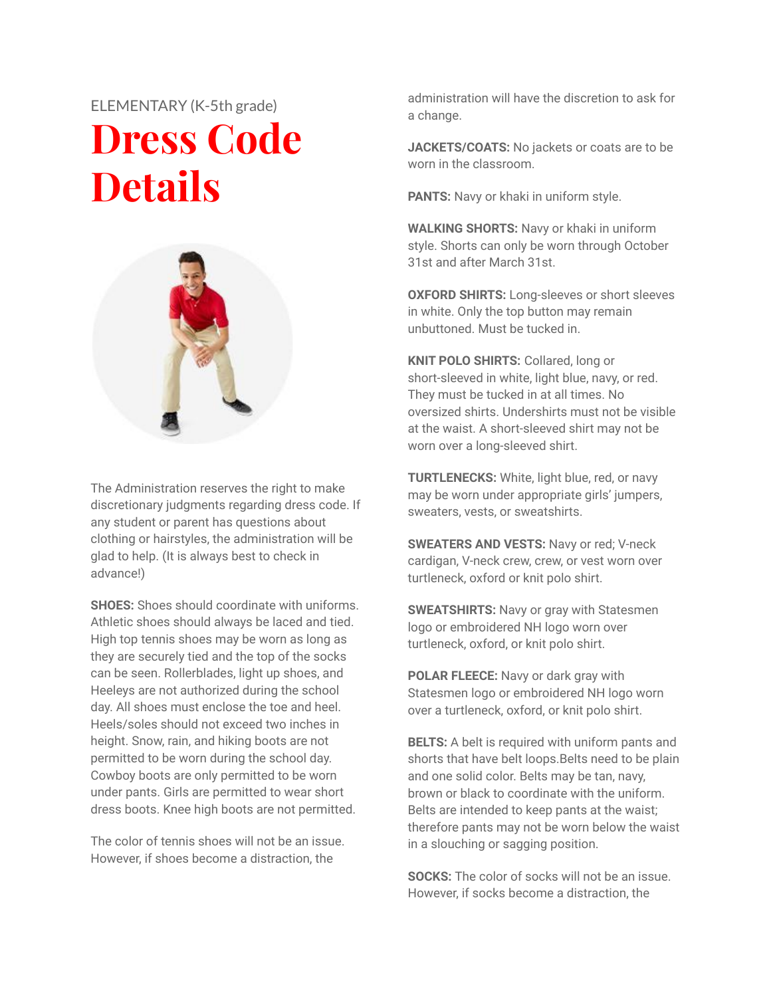## ELEMENTARY (K-5th grade) **Dress Code Details**



The Administration reserves the right to make discretionary judgments regarding dress code. If any student or parent has questions about clothing or hairstyles, the administration will be glad to help. (It is always best to check in advance!)

**SHOES:** Shoes should coordinate with uniforms. Athletic shoes should always be laced and tied. High top tennis shoes may be worn as long as they are securely tied and the top of the socks can be seen. Rollerblades, light up shoes, and Heeleys are not authorized during the school day. All shoes must enclose the toe and heel. Heels/soles should not exceed two inches in height. Snow, rain, and hiking boots are not permitted to be worn during the school day. Cowboy boots are only permitted to be worn under pants. Girls are permitted to wear short dress boots. Knee high boots are not permitted.

The color of tennis shoes will not be an issue. However, if shoes become a distraction, the

administration will have the discretion to ask for a change.

**JACKETS/COATS:** No jackets or coats are to be worn in the classroom.

**PANTS:** Navy or khaki in uniform style.

**WALKING SHORTS:** Navy or khaki in uniform style. Shorts can only be worn through October 31st and after March 31st.

**OXFORD SHIRTS:** Long-sleeves or short sleeves in white. Only the top button may remain unbuttoned. Must be tucked in.

**KNIT POLO SHIRTS:** Collared, long or short-sleeved in white, light blue, navy, or red. They must be tucked in at all times. No oversized shirts. Undershirts must not be visible at the waist. A short-sleeved shirt may not be worn over a long-sleeved shirt.

**TURTLENECKS:** White, light blue, red, or navy may be worn under appropriate girls' jumpers, sweaters, vests, or sweatshirts.

**SWEATERS AND VESTS:** Navy or red; V-neck cardigan, V-neck crew, crew, or vest worn over turtleneck, oxford or knit polo shirt.

**SWEATSHIRTS:** Navy or gray with Statesmen logo or embroidered NH logo worn over turtleneck, oxford, or knit polo shirt.

**POLAR FLEECE:** Navy or dark gray with Statesmen logo or embroidered NH logo worn over a turtleneck, oxford, or knit polo shirt.

**BELTS:** A belt is required with uniform pants and shorts that have belt loops.Belts need to be plain and one solid color. Belts may be tan, navy, brown or black to coordinate with the uniform. Belts are intended to keep pants at the waist; therefore pants may not be worn below the waist in a slouching or sagging position.

**SOCKS:** The color of socks will not be an issue. However, if socks become a distraction, the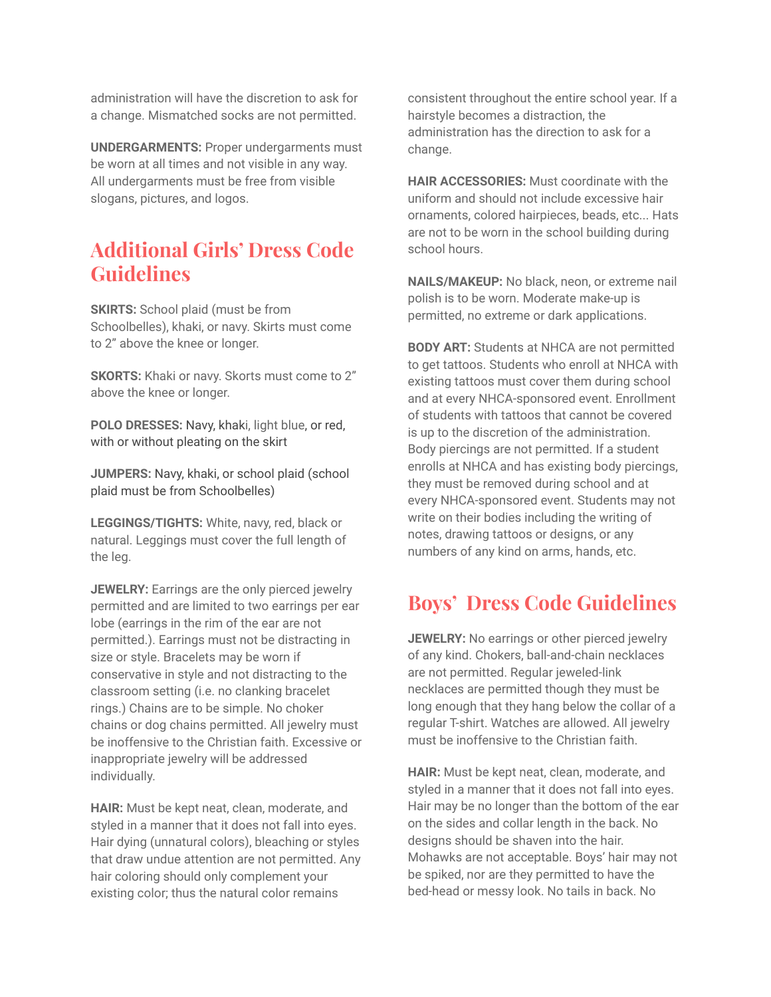administration will have the discretion to ask for a change. Mismatched socks are not permitted.

**UNDERGARMENTS:** Proper undergarments must be worn at all times and not visible in any way. All undergarments must be free from visible slogans, pictures, and logos.

#### **Additional Girls' Dress Code Guidelines**

**SKIRTS:** School plaid (must be from Schoolbelles), khaki, or navy. Skirts must come to 2" above the knee or longer.

**SKORTS:** Khaki or navy. Skorts must come to 2" above the knee or longer.

**POLO DRESSES:** Navy, khaki, light blue, or red, with or without pleating on the skirt

**JUMPERS:** Navy, khaki, or school plaid (school plaid must be from Schoolbelles)

**LEGGINGS/TIGHTS:** White, navy, red, black or natural. Leggings must cover the full length of the leg.

**JEWELRY:** Earrings are the only pierced jewelry permitted and are limited to two earrings per ear lobe (earrings in the rim of the ear are not permitted.). Earrings must not be distracting in size or style. Bracelets may be worn if conservative in style and not distracting to the classroom setting (i.e. no clanking bracelet rings.) Chains are to be simple. No choker chains or dog chains permitted. All jewelry must be inoffensive to the Christian faith. Excessive or inappropriate jewelry will be addressed individually.

**HAIR:** Must be kept neat, clean, moderate, and styled in a manner that it does not fall into eyes. Hair dying (unnatural colors), bleaching or styles that draw undue attention are not permitted. Any hair coloring should only complement your existing color; thus the natural color remains

consistent throughout the entire school year. If a hairstyle becomes a distraction, the administration has the direction to ask for a change.

**HAIR ACCESSORIES:** Must coordinate with the uniform and should not include excessive hair ornaments, colored hairpieces, beads, etc... Hats are not to be worn in the school building during school hours.

**NAILS/MAKEUP:** No black, neon, or extreme nail polish is to be worn. Moderate make-up is permitted, no extreme or dark applications.

**BODY ART:** Students at NHCA are not permitted to get tattoos. Students who enroll at NHCA with existing tattoos must cover them during school and at every NHCA-sponsored event. Enrollment of students with tattoos that cannot be covered is up to the discretion of the administration. Body piercings are not permitted. If a student enrolls at NHCA and has existing body piercings, they must be removed during school and at every NHCA-sponsored event. Students may not write on their bodies including the writing of notes, drawing tattoos or designs, or any numbers of any kind on arms, hands, etc.

#### **Boys' Dress Code Guidelines**

**JEWELRY:** No earrings or other pierced jewelry of any kind. Chokers, ball-and-chain necklaces are not permitted. Regular jeweled-link necklaces are permitted though they must be long enough that they hang below the collar of a regular T-shirt. Watches are allowed. All jewelry must be inoffensive to the Christian faith.

**HAIR:** Must be kept neat, clean, moderate, and styled in a manner that it does not fall into eyes. Hair may be no longer than the bottom of the ear on the sides and collar length in the back. No designs should be shaven into the hair. Mohawks are not acceptable. Boys' hair may not be spiked, nor are they permitted to have the bed-head or messy look. No tails in back. No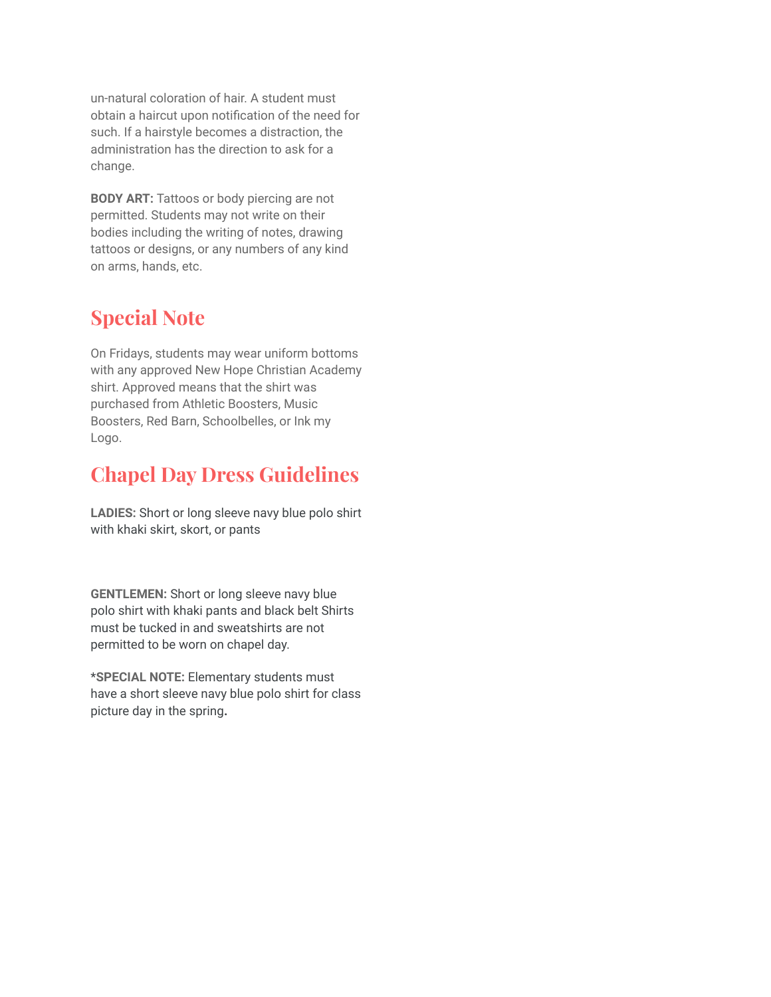un-natural coloration of hair. A student must obtain a haircut upon notification of the need for such. If a hairstyle becomes a distraction, the administration has the direction to ask for a change.

**BODY ART:** Tattoos or body piercing are not permitted. Students may not write on their bodies including the writing of notes, drawing tattoos or designs, or any numbers of any kind on arms, hands, etc.

#### **Special Note**

On Fridays, students may wear uniform bottoms with any approved New Hope Christian Academy shirt. Approved means that the shirt was purchased from Athletic Boosters, Music Boosters, Red Barn, Schoolbelles, or Ink my Logo.

### **Chapel Day Dress Guidelines**

**LADIES:** Short or long sleeve navy blue polo shirt with khaki skirt, skort, or pants

**GENTLEMEN:** Short or long sleeve navy blue polo shirt with khaki pants and black belt Shirts must be tucked in and sweatshirts are not permitted to be worn on chapel day.

\***SPECIAL NOTE:** Elementary students must have a short sleeve navy blue polo shirt for class picture day in the spring**.**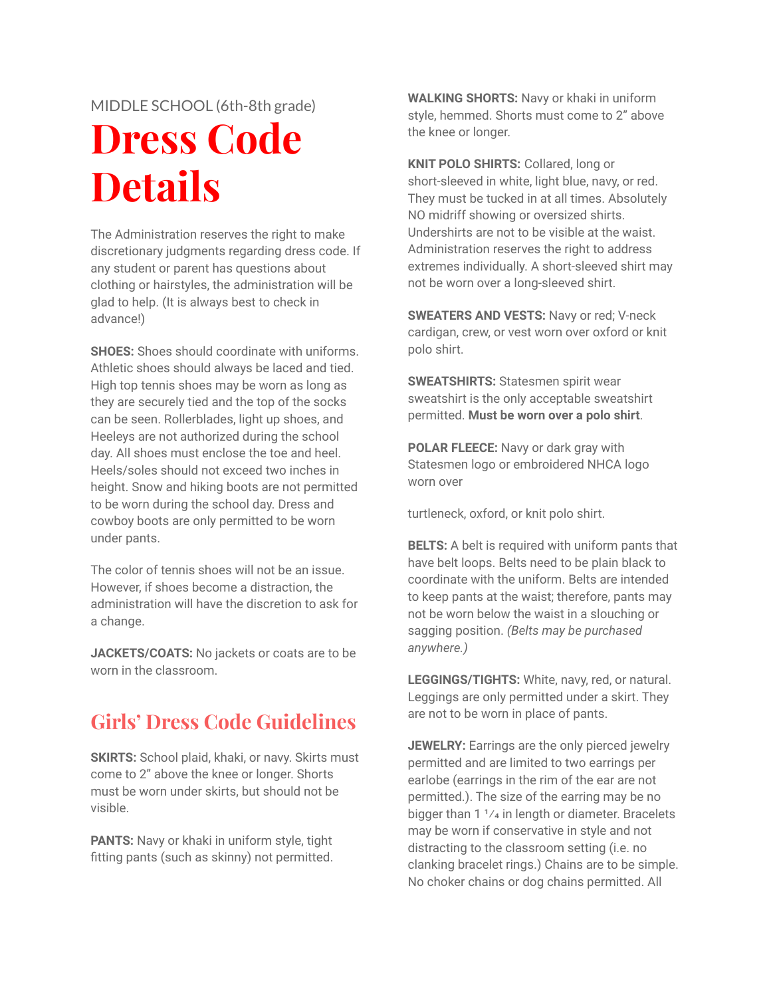#### MIDDLE SCHOOL (6th-8th grade)

# **Dress Code Details**

The Administration reserves the right to make discretionary judgments regarding dress code. If any student or parent has questions about clothing or hairstyles, the administration will be glad to help. (It is always best to check in advance!)

**SHOES:** Shoes should coordinate with uniforms. Athletic shoes should always be laced and tied. High top tennis shoes may be worn as long as they are securely tied and the top of the socks can be seen. Rollerblades, light up shoes, and Heeleys are not authorized during the school day. All shoes must enclose the toe and heel. Heels/soles should not exceed two inches in height. Snow and hiking boots are not permitted to be worn during the school day. Dress and cowboy boots are only permitted to be worn under pants.

The color of tennis shoes will not be an issue. However, if shoes become a distraction, the administration will have the discretion to ask for a change.

**JACKETS/COATS:** No jackets or coats are to be worn in the classroom.

#### **Girls' Dress Code Guidelines**

**SKIRTS:** School plaid, khaki, or navy. Skirts must come to 2" above the knee or longer. Shorts must be worn under skirts, but should not be visible.

**PANTS:** Navy or khaki in uniform style, tight fitting pants (such as skinny) not permitted.

**WALKING SHORTS:** Navy or khaki in uniform style, hemmed. Shorts must come to 2" above the knee or longer.

**KNIT POLO SHIRTS:** Collared, long or short-sleeved in white, light blue, navy, or red. They must be tucked in at all times. Absolutely NO midriff showing or oversized shirts. Undershirts are not to be visible at the waist. Administration reserves the right to address extremes individually. A short-sleeved shirt may not be worn over a long-sleeved shirt.

**SWEATERS AND VESTS:** Navy or red; V-neck cardigan, crew, or vest worn over oxford or knit polo shirt.

**SWEATSHIRTS:** Statesmen spirit wear sweatshirt is the only acceptable sweatshirt permitted. **Must be worn over a polo shirt**.

**POLAR FLEECE:** Navy or dark gray with Statesmen logo or embroidered NHCA logo worn over

turtleneck, oxford, or knit polo shirt.

**BELTS:** A belt is required with uniform pants that have belt loops. Belts need to be plain black to coordinate with the uniform. Belts are intended to keep pants at the waist; therefore, pants may not be worn below the waist in a slouching or sagging position. *(Belts may be purchased anywhere.)*

**LEGGINGS/TIGHTS:** White, navy, red, or natural. Leggings are only permitted under a skirt. They are not to be worn in place of pants.

**JEWELRY:** Earrings are the only pierced jewelry permitted and are limited to two earrings per earlobe (earrings in the rim of the ear are not permitted.). The size of the earring may be no bigger than  $1 \frac{1}{4}$  in length or diameter. Bracelets may be worn if conservative in style and not distracting to the classroom setting (i.e. no clanking bracelet rings.) Chains are to be simple. No choker chains or dog chains permitted. All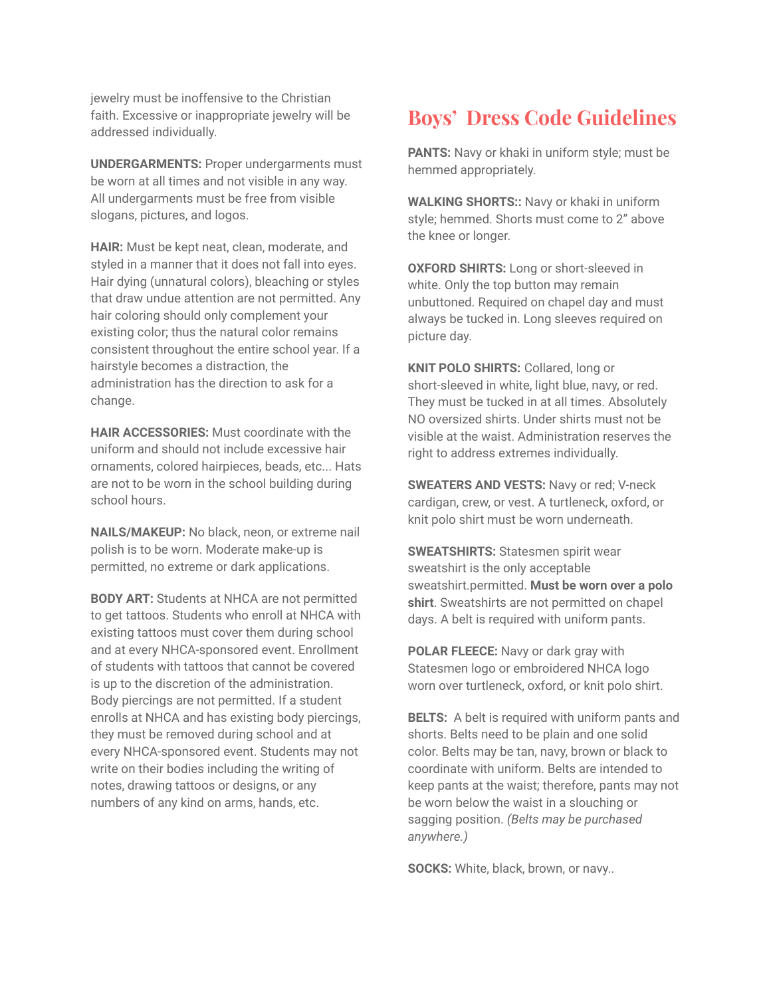jewelry must be inoffensive to the Christian faith. Excessive or inappropriate jewelry will be addressed individually.

**UNDERGARMENTS:** Proper undergarments must be worn at all times and not visible in any way. All undergarments must be free from visible slogans, pictures, and logos.

**HAIR:** Must be kept neat, clean, moderate, and styled in a manner that it does not fall into eyes. Hair dying (unnatural colors), bleaching or styles that draw undue attention are not permitted. Any hair coloring should only complement your existing color; thus the natural color remains consistent throughout the entire school year. If a hairstyle becomes a distraction, the administration has the direction to ask for a change.

**HAIR ACCESSORIES:** Must coordinate with the uniform and should not include excessive hair ornaments, colored hairpieces, beads, etc... Hats are not to be worn in the school building during school hours.

**NAILS/MAKEUP:** No black, neon, or extreme nail polish is to be worn. Moderate make-up is permitted, no extreme or dark applications.

**BODY ART:** Students at NHCA are not permitted to get tattoos. Students who enroll at NHCA with existing tattoos must cover them during school and at every NHCA-sponsored event. Enrollment of students with tattoos that cannot be covered is up to the discretion of the administration. Body piercings are not permitted. If a student enrolls at NHCA and has existing body piercings, they must be removed during school and at every NHCA-sponsored event. Students may not write on their bodies including the writing of notes, drawing tattoos or designs, or any numbers of any kind on arms, hands, etc.

#### **Boys' Dress Code Guidelines**

**PANTS:** Navy or khaki in uniform style; must be hemmed appropriately.

**WALKING SHORTS::** Navy or khaki in uniform style; hemmed. Shorts must come to 2" above the knee or longer.

**OXFORD SHIRTS:** Long or short-sleeved in white. Only the top button may remain unbuttoned. Required on chapel day and must always be tucked in. Long sleeves required on picture day.

**KNIT POLO SHIRTS:** Collared, long or short-sleeved in white, light blue, navy, or red. They must be tucked in at all times. Absolutely NO oversized shirts. Under shirts must not be visible at the waist. Administration reserves the right to address extremes individually.

**SWEATERS AND VESTS:** Navy or red; V-neck cardigan, crew, or vest. A turtleneck, oxford, or knit polo shirt must be worn underneath.

**SWEATSHIRTS:** Statesmen spirit wear sweatshirt is the only acceptable sweatshirt.permitted. **Must be worn over a polo shirt**. Sweatshirts are not permitted on chapel days. A belt is required with uniform pants.

**POLAR FLEECE:** Navy or dark gray with Statesmen logo or embroidered NHCA logo worn over turtleneck, oxford, or knit polo shirt.

**BELTS:** A belt is required with uniform pants and shorts. Belts need to be plain and one solid color. Belts may be tan, navy, brown or black to coordinate with uniform. Belts are intended to keep pants at the waist; therefore, pants may not be worn below the waist in a slouching or sagging position. *(Belts may be purchased anywhere.)*

**SOCKS:** White, black, brown, or navy..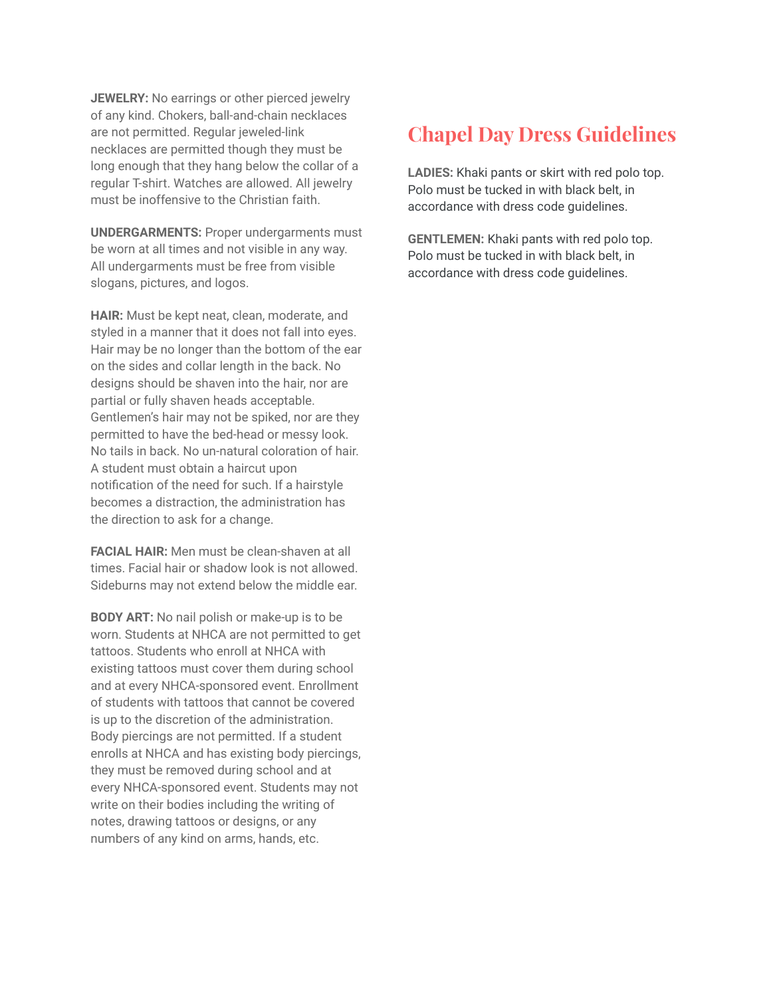**JEWELRY:** No earrings or other pierced jewelry of any kind. Chokers, ball-and-chain necklaces are not permitted. Regular jeweled-link necklaces are permitted though they must be long enough that they hang below the collar of a regular T-shirt. Watches are allowed. All jewelry must be inoffensive to the Christian faith.

**UNDERGARMENTS:** Proper undergarments must be worn at all times and not visible in any way. All undergarments must be free from visible slogans, pictures, and logos.

**HAIR:** Must be kept neat, clean, moderate, and styled in a manner that it does not fall into eyes. Hair may be no longer than the bottom of the ear on the sides and collar length in the back. No designs should be shaven into the hair, nor are partial or fully shaven heads acceptable. Gentlemen's hair may not be spiked, nor are they permitted to have the bed-head or messy look. No tails in back. No un-natural coloration of hair. A student must obtain a haircut upon notification of the need for such. If a hairstyle becomes a distraction, the administration has the direction to ask for a change.

**FACIAL HAIR:** Men must be clean-shaven at all times. Facial hair or shadow look is not allowed. Sideburns may not extend below the middle ear.

**BODY ART:** No nail polish or make-up is to be worn. Students at NHCA are not permitted to get tattoos. Students who enroll at NHCA with existing tattoos must cover them during school and at every NHCA-sponsored event. Enrollment of students with tattoos that cannot be covered is up to the discretion of the administration. Body piercings are not permitted. If a student enrolls at NHCA and has existing body piercings, they must be removed during school and at every NHCA-sponsored event. Students may not write on their bodies including the writing of notes, drawing tattoos or designs, or any numbers of any kind on arms, hands, etc.

#### **Chapel Day Dress Guidelines**

**LADIES:** Khaki pants or skirt with red polo top. Polo must be tucked in with black belt, in accordance with dress code guidelines.

**GENTLEMEN:** Khaki pants with red polo top. Polo must be tucked in with black belt, in accordance with dress code guidelines.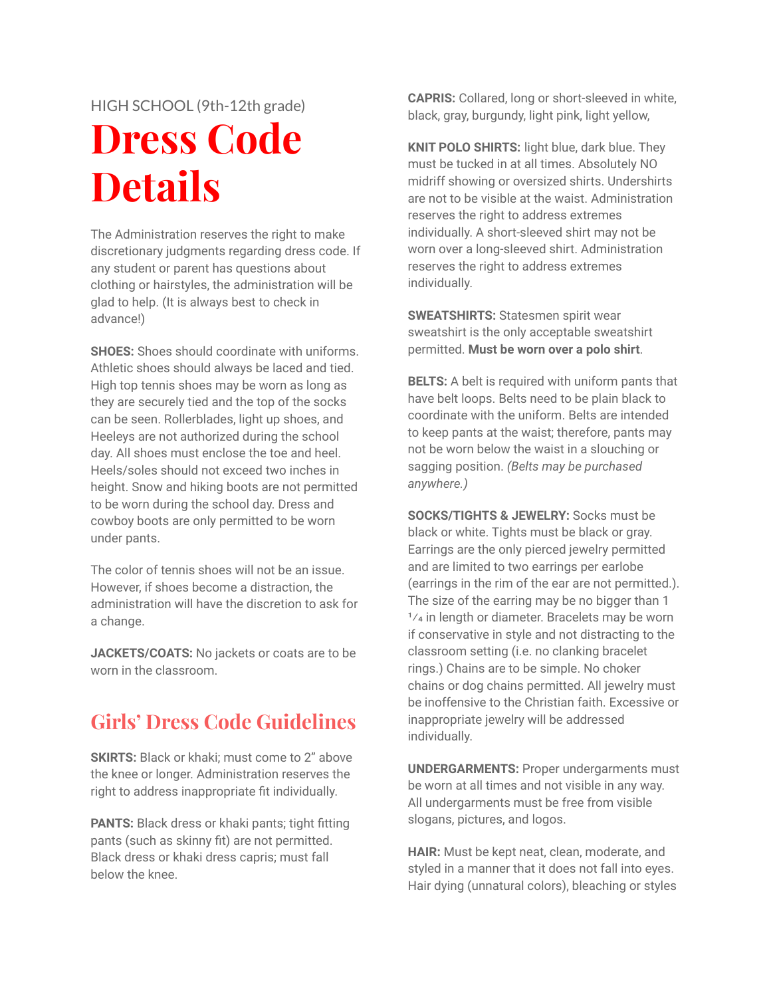#### HIGH SCHOOL (9th-12th grade)

# **Dress Code Details**

The Administration reserves the right to make discretionary judgments regarding dress code. If any student or parent has questions about clothing or hairstyles, the administration will be glad to help. (It is always best to check in advance!)

**SHOES:** Shoes should coordinate with uniforms. Athletic shoes should always be laced and tied. High top tennis shoes may be worn as long as they are securely tied and the top of the socks can be seen. Rollerblades, light up shoes, and Heeleys are not authorized during the school day. All shoes must enclose the toe and heel. Heels/soles should not exceed two inches in height. Snow and hiking boots are not permitted to be worn during the school day. Dress and cowboy boots are only permitted to be worn under pants.

The color of tennis shoes will not be an issue. However, if shoes become a distraction, the administration will have the discretion to ask for a change.

**JACKETS/COATS:** No jackets or coats are to be worn in the classroom.

#### **Girls' Dress Code Guidelines**

**SKIRTS:** Black or khaki: must come to 2" above the knee or longer. Administration reserves the right to address inappropriate fit individually.

**PANTS:** Black dress or khaki pants; tight fitting pants (such as skinny fit) are not permitted. Black dress or khaki dress capris; must fall below the knee.

**CAPRIS:** Collared, long or short-sleeved in white, black, gray, burgundy, light pink, light yellow,

**KNIT POLO SHIRTS:** light blue, dark blue. They must be tucked in at all times. Absolutely NO midriff showing or oversized shirts. Undershirts are not to be visible at the waist. Administration reserves the right to address extremes individually. A short-sleeved shirt may not be worn over a long-sleeved shirt. Administration reserves the right to address extremes individually.

**SWEATSHIRTS:** Statesmen spirit wear sweatshirt is the only acceptable sweatshirt permitted. **Must be worn over a polo shirt**.

**BELTS:** A belt is required with uniform pants that have belt loops. Belts need to be plain black to coordinate with the uniform. Belts are intended to keep pants at the waist; therefore, pants may not be worn below the waist in a slouching or sagging position. *(Belts may be purchased anywhere.)*

**SOCKS/TIGHTS & JEWELRY:** Socks must be black or white. Tights must be black or gray. Earrings are the only pierced jewelry permitted and are limited to two earrings per earlobe (earrings in the rim of the ear are not permitted.). The size of the earring may be no bigger than 1  $1/4$  in length or diameter. Bracelets may be worn if conservative in style and not distracting to the classroom setting (i.e. no clanking bracelet rings.) Chains are to be simple. No choker chains or dog chains permitted. All jewelry must be inoffensive to the Christian faith. Excessive or inappropriate jewelry will be addressed individually.

**UNDERGARMENTS:** Proper undergarments must be worn at all times and not visible in any way. All undergarments must be free from visible slogans, pictures, and logos.

**HAIR:** Must be kept neat, clean, moderate, and styled in a manner that it does not fall into eyes. Hair dying (unnatural colors), bleaching or styles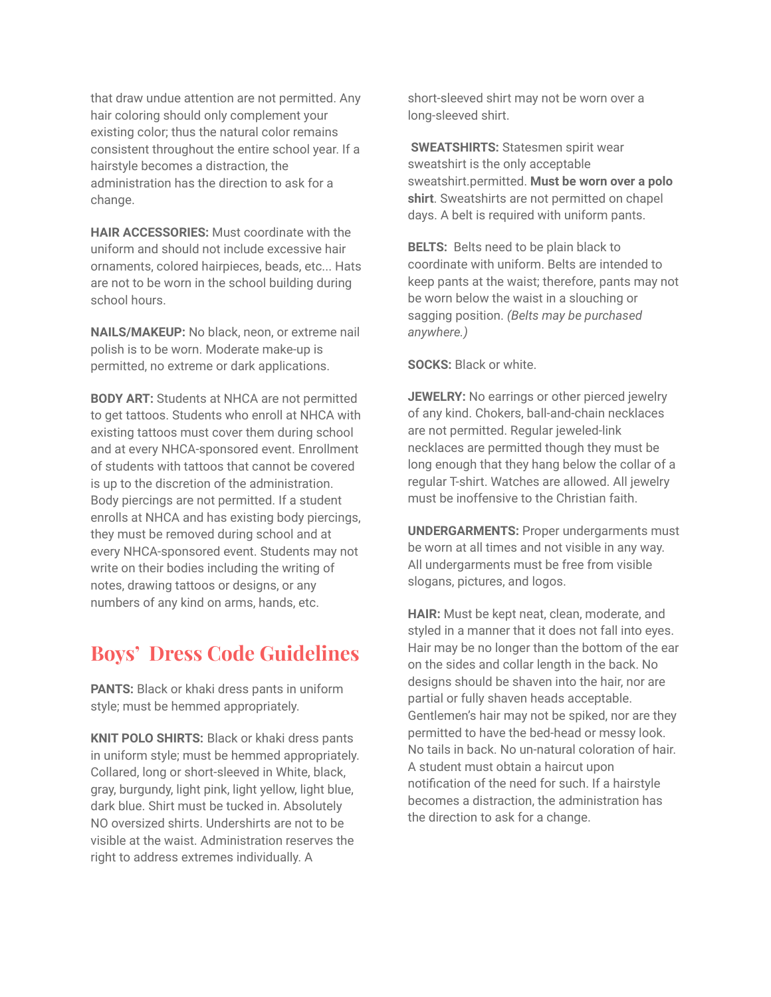that draw undue attention are not permitted. Any hair coloring should only complement your existing color; thus the natural color remains consistent throughout the entire school year. If a hairstyle becomes a distraction, the administration has the direction to ask for a change.

**HAIR ACCESSORIES:** Must coordinate with the uniform and should not include excessive hair ornaments, colored hairpieces, beads, etc... Hats are not to be worn in the school building during school hours.

**NAILS/MAKEUP:** No black, neon, or extreme nail polish is to be worn. Moderate make-up is permitted, no extreme or dark applications.

**BODY ART:** Students at NHCA are not permitted to get tattoos. Students who enroll at NHCA with existing tattoos must cover them during school and at every NHCA-sponsored event. Enrollment of students with tattoos that cannot be covered is up to the discretion of the administration. Body piercings are not permitted. If a student enrolls at NHCA and has existing body piercings, they must be removed during school and at every NHCA-sponsored event. Students may not write on their bodies including the writing of notes, drawing tattoos or designs, or any numbers of any kind on arms, hands, etc.

#### **Boys' Dress Code Guidelines**

**PANTS:** Black or khaki dress pants in uniform style; must be hemmed appropriately.

**KNIT POLO SHIRTS:** Black or khaki dress pants in uniform style; must be hemmed appropriately. Collared, long or short-sleeved in White, black, gray, burgundy, light pink, light yellow, light blue, dark blue. Shirt must be tucked in. Absolutely NO oversized shirts. Undershirts are not to be visible at the waist. Administration reserves the right to address extremes individually. A

short-sleeved shirt may not be worn over a long-sleeved shirt.

**SWEATSHIRTS:** Statesmen spirit wear sweatshirt is the only acceptable sweatshirt.permitted. **Must be worn over a polo shirt**. Sweatshirts are not permitted on chapel days. A belt is required with uniform pants.

**BELTS:** Belts need to be plain black to coordinate with uniform. Belts are intended to keep pants at the waist; therefore, pants may not be worn below the waist in a slouching or sagging position. *(Belts may be purchased anywhere.)*

**SOCKS:** Black or white.

**JEWELRY:** No earrings or other pierced jewelry of any kind. Chokers, ball-and-chain necklaces are not permitted. Regular jeweled-link necklaces are permitted though they must be long enough that they hang below the collar of a regular T-shirt. Watches are allowed. All jewelry must be inoffensive to the Christian faith.

**UNDERGARMENTS:** Proper undergarments must be worn at all times and not visible in any way. All undergarments must be free from visible slogans, pictures, and logos.

**HAIR:** Must be kept neat, clean, moderate, and styled in a manner that it does not fall into eyes. Hair may be no longer than the bottom of the ear on the sides and collar length in the back. No designs should be shaven into the hair, nor are partial or fully shaven heads acceptable. Gentlemen's hair may not be spiked, nor are they permitted to have the bed-head or messy look. No tails in back. No un-natural coloration of hair. A student must obtain a haircut upon notification of the need for such. If a hairstyle becomes a distraction, the administration has the direction to ask for a change.